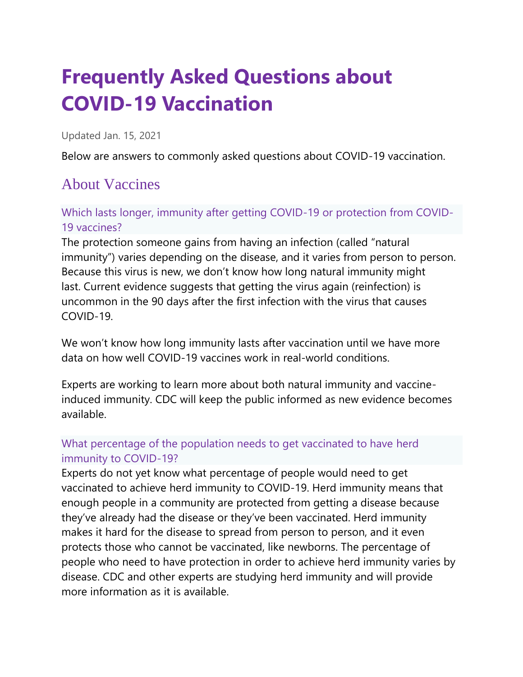# **Frequently Asked Questions about COVID-19 Vaccination**

Updated Jan. 15, 2021

Below are answers to commonly asked questions about COVID-19 vaccination.

# About Vaccines

Which lasts longer, immunity after getting COVID-19 or protection from COVID-19 vaccines?

The protection someone gains from having an infection (called "natural immunity") varies depending on the disease, and it varies from person to person. Because this virus is new, we don't know how long natural immunity might last. Current evidence suggests that getting the virus again (reinfection) is uncommon in the 90 days after the first infection with the virus that causes COVID-19.

We won't know how long immunity lasts after vaccination until we have more data on how well COVID-19 vaccines work in real-world conditions.

Experts are working to learn more about both natural immunity and vaccineinduced immunity. CDC will keep the public informed as new evidence becomes available.

### What percentage of the population needs to get vaccinated to have herd immunity to COVID-19?

Experts do not yet know what percentage of people would need to get vaccinated to achieve herd immunity to COVID-19. Herd immunity means that enough people in a community are protected from getting a disease because they've already had the disease or they've been vaccinated. Herd immunity makes it hard for the disease to spread from person to person, and it even protects those who cannot be vaccinated, like newborns. The percentage of people who need to have protection in order to achieve herd immunity varies by disease. CDC and other experts are studying herd immunity and will provide more information as it is available.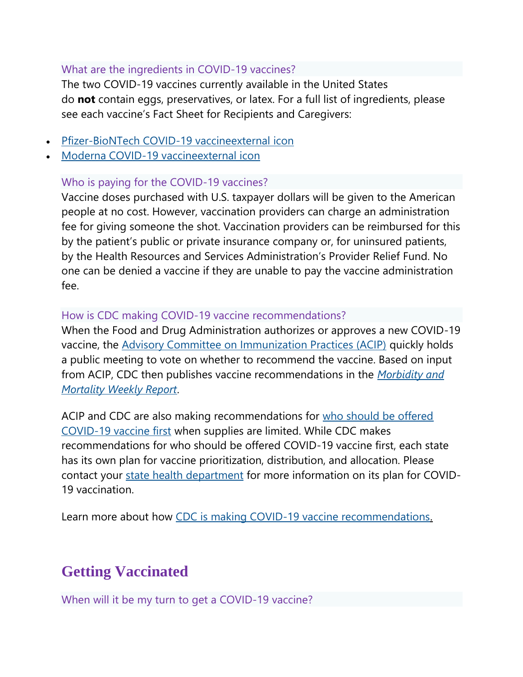#### What are the ingredients in COVID-19 vaccines?

The two COVID-19 vaccines currently available in the United States do **not** contain eggs, preservatives, or latex. For a full list of ingredients, please see each vaccine's Fact Sheet for Recipients and Caregivers:

- [Pfizer-BioNTech COVID-19 vaccineexternal](https://www.fda.gov/media/144414/download) icon
- [Moderna COVID-19 vaccineexternal](https://www.fda.gov/media/144638/download) icon

#### Who is paying for the COVID-19 vaccines?

Vaccine doses purchased with U.S. taxpayer dollars will be given to the American people at no cost. However, vaccination providers can charge an administration fee for giving someone the shot. Vaccination providers can be reimbursed for this by the patient's public or private insurance company or, for uninsured patients, by the Health Resources and Services Administration's Provider Relief Fund. No one can be denied a vaccine if they are unable to pay the vaccine administration fee.

#### How is CDC making COVID-19 vaccine recommendations?

When the Food and Drug Administration authorizes or approves a new COVID-19 vaccine, the [Advisory Committee on Immunization Practices \(ACIP\)](https://www.cdc.gov/vaccines/acip/index.html) quickly holds a public meeting to vote on whether to recommend the vaccine. Based on input from ACIP, CDC then publishes vaccine recommendations in the *[Morbidity and](https://www.cdc.gov/vaccines/hcp/acip-recs/vacc-specific/covid-19.html)  [Mortality Weekly Report](https://www.cdc.gov/vaccines/hcp/acip-recs/vacc-specific/covid-19.html)*.

ACIP and CDC are also making recommendations for who should be offered [COVID-19 vaccine first](https://www.cdc.gov/coronavirus/2019-ncov/vaccines/recommendations.html) when supplies are limited. While CDC makes recommendations for who should be offered COVID-19 vaccine first, each state has its own plan for vaccine prioritization, distribution, and allocation. Please contact your [state health department](https://www.cdc.gov/coronavirus/2019-ncov/php/open-america/hd-search/index.html) for more information on its plan for COVID-19 vaccination.

Learn more about how [CDC is making COVID-19 vaccine recommendations.](https://www.cdc.gov/coronavirus/2019-ncov/vaccines/recommendations-process.html)

# **Getting Vaccinated**

When will it be my turn to get a COVID-19 vaccine?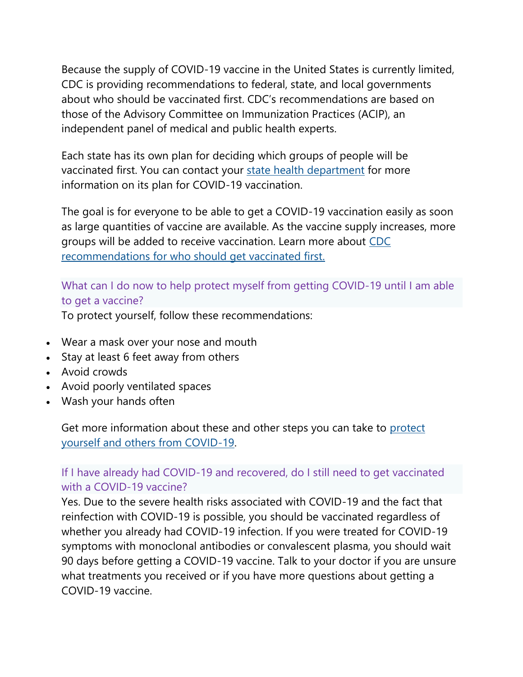Because the supply of COVID-19 vaccine in the United States is currently limited, CDC is providing recommendations to federal, state, and local governments about who should be vaccinated first. CDC's recommendations are based on those of the Advisory Committee on Immunization Practices (ACIP), an independent panel of medical and public health experts.

Each state has its own plan for deciding which groups of people will be vaccinated first. You can contact your [state health department](https://www.cdc.gov/coronavirus/2019-ncov/php/open-america/hd-search/index.html) for more information on its plan for COVID-19 vaccination.

The goal is for everyone to be able to get a COVID-19 vaccination easily as soon as large quantities of vaccine are available. As the vaccine supply increases, more groups will be added to receive vaccination. Learn more about [CDC](https://www.cdc.gov/coronavirus/2019-ncov/vaccines/recommendations.html)  [recommendations for who should get vaccinated first.](https://www.cdc.gov/coronavirus/2019-ncov/vaccines/recommendations.html)

### What can I do now to help protect myself from getting COVID-19 until I am able to get a vaccine?

To protect yourself, follow these recommendations:

- Wear a mask over your nose and mouth
- Stay at least 6 feet away from others
- Avoid crowds
- Avoid poorly ventilated spaces
- Wash your hands often

Get more information about these and other steps you can take to protect [yourself and others from COVID-19.](https://www.cdc.gov/coronavirus/2019-ncov/prevent-getting-sick/index.html)

### If I have already had COVID-19 and recovered, do I still need to get vaccinated with a COVID-19 vaccine?

Yes. Due to the severe health risks associated with COVID-19 and the fact that reinfection with COVID-19 is possible, you should be vaccinated regardless of whether you already had COVID-19 infection. If you were treated for COVID-19 symptoms with monoclonal antibodies or convalescent plasma, you should wait 90 days before getting a COVID-19 vaccine. Talk to your doctor if you are unsure what treatments you received or if you have more questions about getting a COVID-19 vaccine.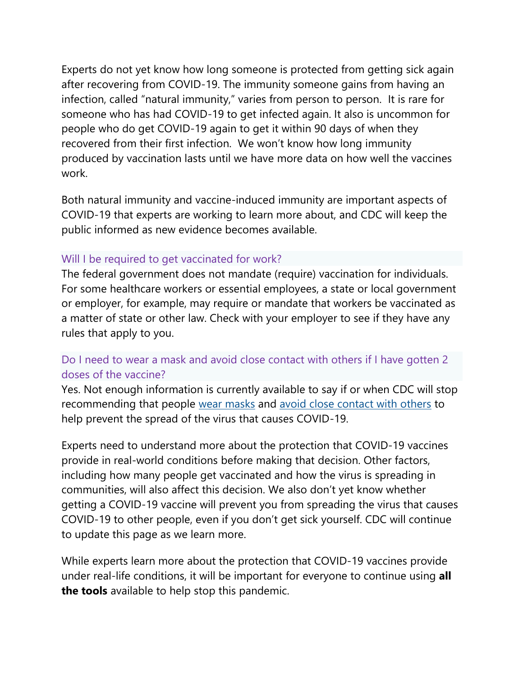Experts do not yet know how long someone is protected from getting sick again after recovering from COVID-19. The immunity someone gains from having an infection, called "natural immunity," varies from person to person. It is rare for someone who has had COVID-19 to get infected again. It also is uncommon for people who do get COVID-19 again to get it within 90 days of when they recovered from their first infection. We won't know how long immunity produced by vaccination lasts until we have more data on how well the vaccines work.

Both natural immunity and vaccine-induced immunity are important aspects of COVID-19 that experts are working to learn more about, and CDC will keep the public informed as new evidence becomes available.

#### Will I be required to get vaccinated for work?

The federal government does not mandate (require) vaccination for individuals. For some healthcare workers or essential employees, a state or local government or employer, for example, may require or mandate that workers be vaccinated as a matter of state or other law. Check with your employer to see if they have any rules that apply to you.

#### Do I need to wear a mask and avoid close contact with others if I have gotten 2 doses of the vaccine?

Yes. Not enough information is currently available to say if or when CDC will stop recommending that people [wear masks](https://www.cdc.gov/coronavirus/2019-ncov/prevent-getting-sick/diy-cloth-face-coverings.html) and [avoid close contact with others](https://www.cdc.gov/coronavirus/2019-ncov/prevent-getting-sick/social-distancing.html) to help prevent the spread of the virus that causes COVID-19.

Experts need to understand more about the protection that COVID-19 vaccines provide in real-world conditions before making that decision. Other factors, including how many people get vaccinated and how the virus is spreading in communities, will also affect this decision. We also don't yet know whether getting a COVID-19 vaccine will prevent you from spreading the virus that causes COVID-19 to other people, even if you don't get sick yourself. CDC will continue to update this page as we learn more.

While experts learn more about the protection that COVID-19 vaccines provide under real-life conditions, it will be important for everyone to continue using **all the tools** available to help stop this pandemic.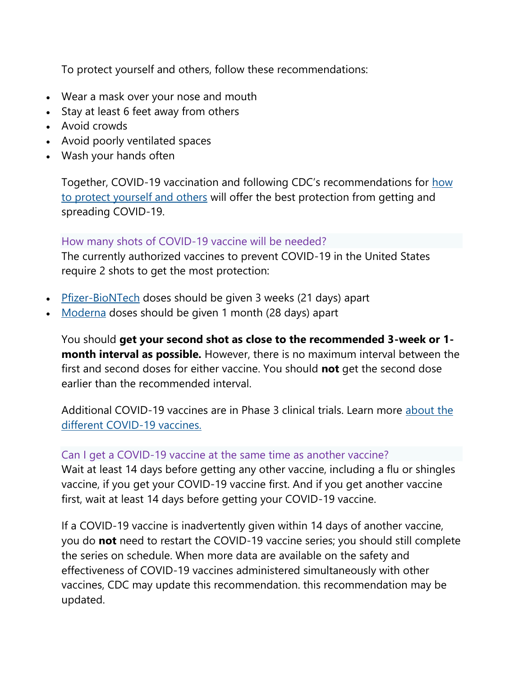To protect yourself and others, follow these recommendations:

- Wear a mask over your nose and mouth
- Stay at least 6 feet away from others
- Avoid crowds
- Avoid poorly ventilated spaces
- Wash your hands often

Together, COVID-19 vaccination and following CDC's recommendations for [how](https://www.cdc.gov/coronavirus/2019-ncov/prevent-getting-sick/prevention.html)  [to protect yourself and others](https://www.cdc.gov/coronavirus/2019-ncov/prevent-getting-sick/prevention.html) will offer the best protection from getting and spreading COVID-19.

#### How many shots of COVID-19 vaccine will be needed?

The currently authorized vaccines to prevent COVID-19 in the United States require 2 shots to get the most protection:

- [Pfizer-BioNTech](https://www.cdc.gov/coronavirus/2019-ncov/vaccines/different-vaccines/Pfizer-BioNTech.html) doses should be given 3 weeks (21 days) apart
- [Moderna](https://www.cdc.gov/coronavirus/2019-ncov/vaccines/different-vaccines/Moderna.html) doses should be given 1 month (28 days) apart

You should **get your second shot as close to the recommended 3-week or 1 month interval as possible.** However, there is no maximum interval between the first and second doses for either vaccine. You should **not** get the second dose earlier than the recommended interval.

Additional COVID-19 vaccines are in Phase 3 clinical trials. Learn more [about the](https://www.cdc.gov/coronavirus/2019-ncov/vaccines/different-vaccines.html)  [different COVID-19 vaccines.](https://www.cdc.gov/coronavirus/2019-ncov/vaccines/different-vaccines.html)

#### Can I get a COVID-19 vaccine at the same time as another vaccine?

Wait at least 14 days before getting any other vaccine, including a flu or shingles vaccine, if you get your COVID-19 vaccine first. And if you get another vaccine first, wait at least 14 days before getting your COVID-19 vaccine.

If a COVID-19 vaccine is inadvertently given within 14 days of another vaccine, you do **not** need to restart the COVID-19 vaccine series; you should still complete the series on schedule. When more data are available on the safety and effectiveness of COVID-19 vaccines administered simultaneously with other vaccines, CDC may update this recommendation. this recommendation may be updated.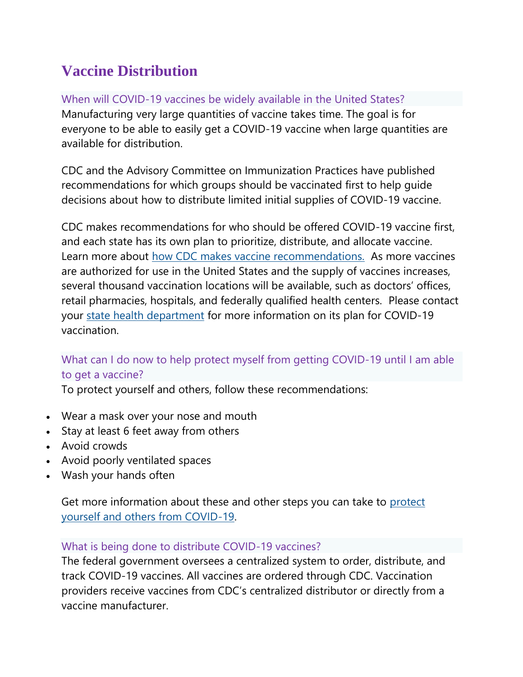# **Vaccine Distribution**

When will COVID-19 vaccines be widely available in the United States? Manufacturing very large quantities of vaccine takes time. The goal is for everyone to be able to easily get a COVID-19 vaccine when large quantities are available for distribution.

CDC and the Advisory Committee on Immunization Practices have published recommendations for which groups should be vaccinated first to help guide decisions about how to distribute limited initial supplies of COVID-19 vaccine.

CDC makes recommendations for who should be offered COVID-19 vaccine first, and each state has its own plan to prioritize, distribute, and allocate vaccine. Learn more about [how CDC makes vaccine recommendations.](https://www.cdc.gov/coronavirus/2019-ncov/vaccines/recommendations-process.html) As more vaccines are authorized for use in the United States and the supply of vaccines increases, several thousand vaccination locations will be available, such as doctors' offices, retail pharmacies, hospitals, and federally qualified health centers. Please contact your [state health department](https://www.cdc.gov/coronavirus/2019-ncov/php/open-america/hd-search/index.html) for more information on its plan for COVID-19 vaccination.

# What can I do now to help protect myself from getting COVID-19 until I am able to get a vaccine?

To protect yourself and others, follow these recommendations:

- Wear a mask over your nose and mouth
- Stay at least 6 feet away from others
- Avoid crowds
- Avoid poorly ventilated spaces
- Wash your hands often

Get more information about these and other steps you can take to protect [yourself and others from COVID-19.](https://www.cdc.gov/coronavirus/2019-ncov/prevent-getting-sick/index.html)

### What is being done to distribute COVID-19 vaccines?

The federal government oversees a centralized system to order, distribute, and track COVID-19 vaccines. All vaccines are ordered through CDC. Vaccination providers receive vaccines from CDC's centralized distributor or directly from a vaccine manufacturer.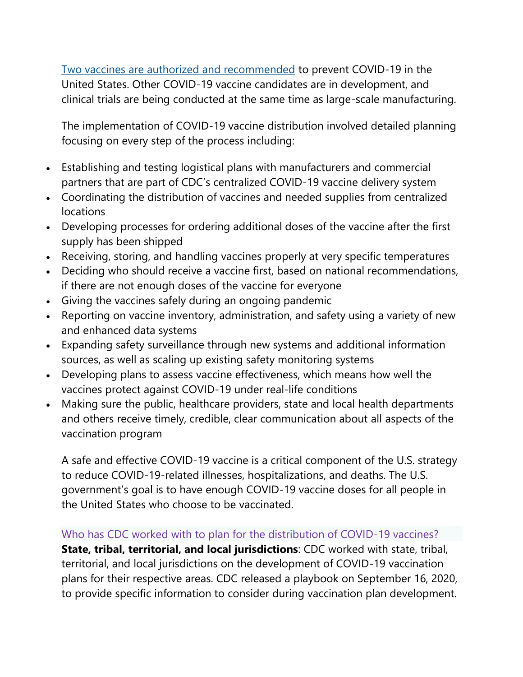[Two vaccines are authorized and recommended](https://www.cdc.gov/coronavirus/2019-ncov/vaccines/different-vaccines.html) to prevent COVID-19 in the United States. Other COVID-19 vaccine candidates are in development, and clinical trials are being conducted at the same time as large-scale manufacturing.

The implementation of COVID-19 vaccine distribution involved detailed planning focusing on every step of the process including:

- Establishing and testing logistical plans with manufacturers and commercial partners that are part of CDC's centralized COVID-19 vaccine delivery system
- Coordinating the distribution of vaccines and needed supplies from centralized locations
- Developing processes for ordering additional doses of the vaccine after the first supply has been shipped
- Receiving, storing, and handling vaccines properly at very specific temperatures
- Deciding who should receive a vaccine first, based on national recommendations, if there are not enough doses of the vaccine for everyone
- Giving the vaccines safely during an ongoing pandemic
- Reporting on vaccine inventory, administration, and safety using a variety of new and enhanced data systems
- Expanding safety surveillance through new systems and additional information sources, as well as scaling up existing safety monitoring systems
- Developing plans to assess vaccine effectiveness, which means how well the vaccines protect against COVID-19 under real-life conditions
- Making sure the public, healthcare providers, state and local health departments and others receive timely, credible, clear communication about all aspects of the vaccination program

A safe and effective COVID-19 vaccine is a critical component of the U.S. strategy to reduce COVID-19-related illnesses, hospitalizations, and deaths. The U.S. government's goal is to have enough COVID-19 vaccine doses for all people in the United States who choose to be vaccinated.

#### Who has CDC worked with to plan for the distribution of COVID-19 vaccines?

**State, tribal, territorial, and local jurisdictions**: CDC worked with state, tribal, territorial, and local jurisdictions on the development of COVID-19 vaccination plans for their respective areas. CDC released a playbook on September 16, 2020, to provide specific information to consider during vaccination plan development.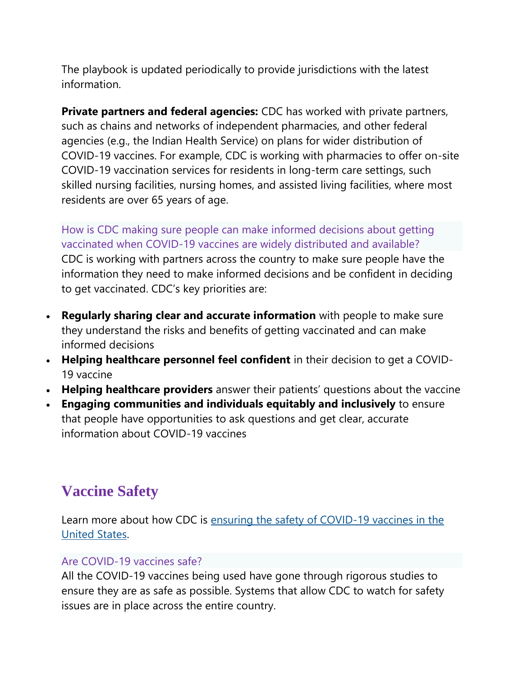The playbook is updated periodically to provide jurisdictions with the latest information.

**Private partners and federal agencies:** CDC has worked with private partners, such as chains and networks of independent pharmacies, and other federal agencies (e.g., the Indian Health Service) on plans for wider distribution of COVID-19 vaccines. For example, CDC is working with pharmacies to offer on-site COVID-19 vaccination services for residents in long-term care settings, such skilled nursing facilities, nursing homes, and assisted living facilities, where most residents are over 65 years of age.

How is CDC making sure people can make informed decisions about getting vaccinated when COVID-19 vaccines are widely distributed and available? CDC is working with partners across the country to make sure people have the information they need to make informed decisions and be confident in deciding to get vaccinated. CDC's key priorities are:

- **Regularly sharing clear and accurate information** with people to make sure they understand the risks and benefits of getting vaccinated and can make informed decisions
- **Helping healthcare personnel feel confident** in their decision to get a COVID-19 vaccine
- **Helping healthcare providers** answer their patients' questions about the vaccine
- **Engaging communities and individuals equitably and inclusively** to ensure that people have opportunities to ask questions and get clear, accurate information about COVID-19 vaccines

# **Vaccine Safety**

Learn more about how CDC is ensuring the safety of COVID-19 vaccines in the [United States.](https://www.cdc.gov/coronavirus/2019-ncov/vaccines/safety.html)

#### Are COVID-19 vaccines safe?

All the COVID-19 vaccines being used have gone through rigorous studies to ensure they are as safe as possible. Systems that allow CDC to watch for safety issues are in place across the entire country.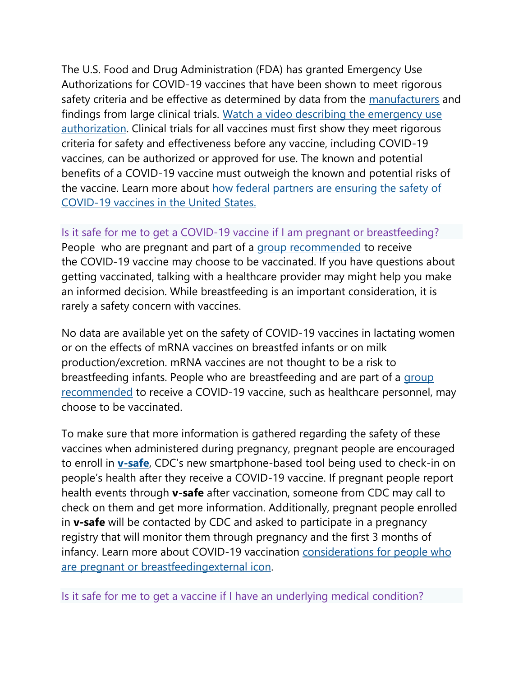The U.S. Food and Drug Administration (FDA) has granted Emergency Use Authorizations for COVID-19 vaccines that have been shown to meet rigorous safety criteria and be effective as determined by data from the [manufacturers](https://www.cdc.gov/vaccines/covid-19/info-by-product/index.html) and findings from large clinical trials. [Watch a video describing the emergency use](https://www.youtube.com/watch?v=iGkwaESsGBQ)  [authorization.](https://www.youtube.com/watch?v=iGkwaESsGBQ) Clinical trials for all vaccines must first show they meet rigorous criteria for safety and effectiveness before any vaccine, including COVID-19 vaccines, can be authorized or approved for use. The known and potential benefits of a COVID-19 vaccine must outweigh the known and potential risks of the vaccine. Learn more about [how federal partners are ensuring the safety of](https://www.cdc.gov/coronavirus/2019-ncov/vaccines/safety.html)  [COVID-19 vaccines in the United States.](https://www.cdc.gov/coronavirus/2019-ncov/vaccines/safety.html)

# Is it safe for me to get a COVID-19 vaccine if I am pregnant or breastfeeding?

People who are pregnant and part of a [group recommended](https://www.cdc.gov/coronavirus/2019-ncov/vaccines/recommendations.html) to receive the COVID-19 vaccine may choose to be vaccinated. If you have questions about getting vaccinated, talking with a healthcare provider may might help you make an informed decision. While breastfeeding is an important consideration, it is rarely a safety concern with vaccines.

No data are available yet on the safety of COVID-19 vaccines in lactating women or on the effects of mRNA vaccines on breastfed infants or on milk production/excretion. mRNA vaccines are not thought to be a risk to breastfeeding infants. People who are breastfeeding and are part of a [group](https://www.cdc.gov/coronavirus/2019-ncov/vaccines/recommendations.html) [recommended](https://www.cdc.gov/coronavirus/2019-ncov/vaccines/recommendations.html) to receive a COVID-19 vaccine, such as healthcare personnel, may choose to be vaccinated.

To make sure that more information is gathered regarding the safety of these vaccines when administered during pregnancy, pregnant people are encouraged to enroll in **[v-safe](https://www.cdc.gov/coronavirus/2019-ncov/vaccines/safety/vsafe.html)**, CDC's new smartphone-based tool being used to check-in on people's health after they receive a COVID-19 vaccine. If pregnant people report health events through **v-safe** after vaccination, someone from CDC may call to check on them and get more information. Additionally, pregnant people enrolled in **v-safe** will be contacted by CDC and asked to participate in a pregnancy registry that will monitor them through pregnancy and the first 3 months of infancy. Learn more about COVID-19 vaccination considerations for people who [are pregnant or breastfeedingexternal](https://cdc.sharepoint.com/teams/ADVTF-COVID19/Shared%20Documents/AD%20Communications/VTF%20Comm%20Project%20Tracking/Working%20Document%20Library/Patient-Consumer%20Ed%20and%20Outreach/xxxxx%20-%20FAQ%20page%20updates%20-%20January%202021/considerations%20for%20people%20who%20are%20pregnant%20or%20breastfeeding) icon.

Is it safe for me to get a vaccine if I have an underlying medical condition?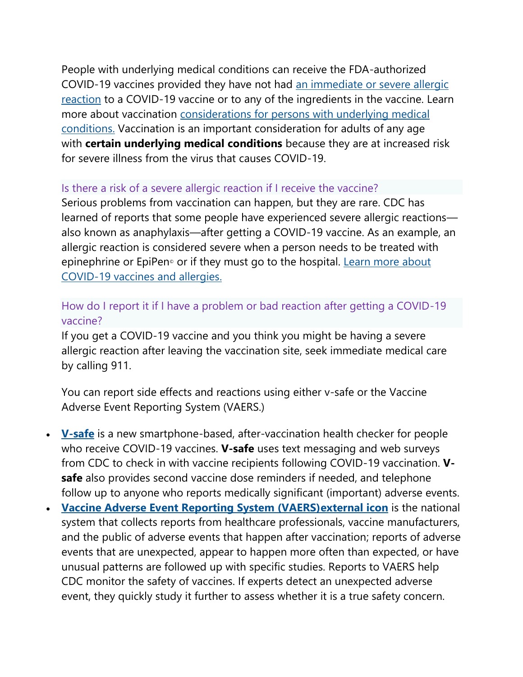People with underlying medical conditions can receive the FDA-authorized COVID-19 vaccines provided they have not had [an](https://www.cdc.gov/coronavirus/2019-ncov/vaccines/safety/allergic-reaction.html) [immediate or severe allergic](https://www.cdc.gov/coronavirus/2019-ncov/vaccines/safety/allergic-reaction.html)  [reaction](https://www.cdc.gov/coronavirus/2019-ncov/vaccines/safety/allergic-reaction.html) to a COVID-19 vaccine or to any of the ingredients in the vaccine. Learn more about vaccination [considerations for persons with underlying medical](https://www.cdc.gov/coronavirus/2019-ncov/vaccines/recommendations/underlying-conditions.html)  [conditions.](https://www.cdc.gov/coronavirus/2019-ncov/vaccines/recommendations/underlying-conditions.html) Vaccination is an important consideration for adults of any age with **certain underlying medical conditions** because they are at increased risk for severe illness from the virus that causes COVID-19.

#### Is there a risk of a severe allergic reaction if I receive the vaccine?

Serious problems from vaccination can happen, but they are rare. CDC has learned of reports that some people have experienced severe allergic reactions also known as anaphylaxis—after getting a COVID-19 vaccine. As an example, an allergic reaction is considered severe when a person needs to be treated with epinephrine or EpiPen<sup>®</sup> or if they must go to the hospital. Learn more about [COVID-19 vaccines and allergies.](https://www.cdc.gov/coronavirus/2019-ncov/vaccines/safety/allergic-reaction.html)

#### How do I report it if I have a problem or bad reaction after getting a COVID-19 vaccine?

If you get a COVID-19 vaccine and you think you might be having a severe allergic reaction after leaving the vaccination site, seek immediate medical care by calling 911.

You can report side effects and reactions using either v-safe or the Vaccine Adverse Event Reporting System (VAERS.)

- **[V-safe](https://www.cdc.gov/coronavirus/2019-ncov/vaccines/safety/vsafe.html)** is a new smartphone-based, after-vaccination health checker for people who receive COVID-19 vaccines. **V-safe** uses text messaging and web surveys from CDC to check in with vaccine recipients following COVID-19 vaccination. **Vsafe** also provides second vaccine dose reminders if needed, and telephone follow up to anyone who reports medically significant (important) adverse events.
- **Vaccine Adverse Event Reporting System (VAERS) external** *icon***</u> is the national** system that collects reports from healthcare professionals, vaccine manufacturers, and the public of adverse events that happen after vaccination; reports of adverse events that are unexpected, appear to happen more often than expected, or have unusual patterns are followed up with specific studies. Reports to VAERS help CDC monitor the safety of vaccines. If experts detect an unexpected adverse event, they quickly study it further to assess whether it is a true safety concern.